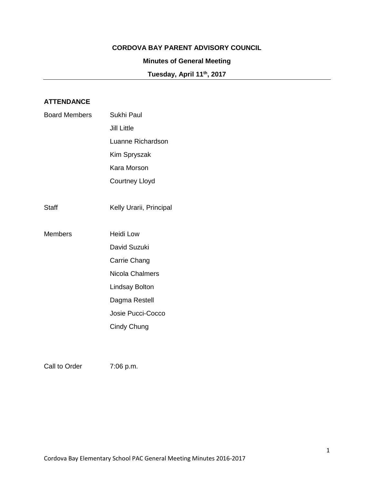## **CORDOVA BAY PARENT ADVISORY COUNCIL**

# **Minutes of General Meeting**

**Tuesday, April 11th, 2017**

# **ATTENDANCE**

| <b>Board Members</b> | Sukhi Paul              |
|----------------------|-------------------------|
|                      | <b>Jill Little</b>      |
|                      | Luanne Richardson       |
|                      | Kim Spryszak            |
|                      | Kara Morson             |
|                      | <b>Courtney Lloyd</b>   |
|                      |                         |
| Staff                | Kelly Urarii, Principal |
|                      |                         |
| <b>Members</b>       | <b>Heidi Low</b>        |
|                      | David Suzuki            |
|                      | Carrie Chang            |
|                      | Nicola Chalmers         |
|                      | <b>Lindsay Bolton</b>   |
|                      | Dagma Restell           |
|                      | Josie Pucci-Cocco       |
|                      | Cindy Chung             |
|                      |                         |

Call to Order 7:06 p.m.